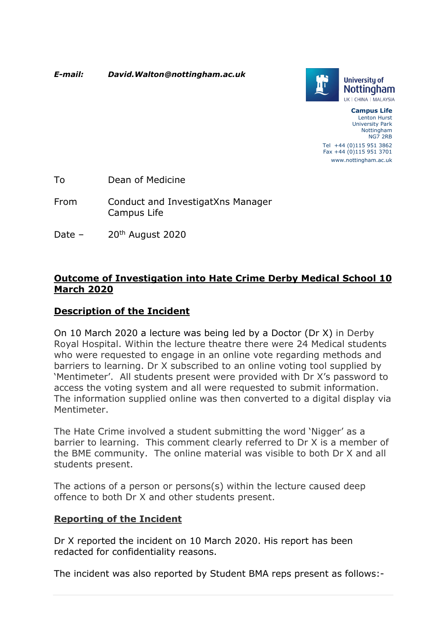*E-mail: [David.Walton@nottingham.ac.uk](mailto:David.Walton@nottingham.ac.uk)* 



**Campus Life**  Lenton Hurst University Park Nottingham NG7 2RB Tel +44 (0)115 951 3862 Fax +44 (0)115 951 3701 <www.nottingham.ac.uk>

To Dean of Medicine

- From Conduct and InvestigatXns Manager Campus Life
- Date 20<sup>th</sup> August 2020

### **Outcome of Investigation into Hate Crime Derby Medical School 10 March 2020**

## **Description of the Incident**

On 10 March 2020 a lecture was being led by a Doctor (Dr X) in Derby Royal Hospital. Within the lecture theatre there were 24 Medical students who were requested to engage in an online vote regarding methods and barriers to learning. Dr X subscribed to an online voting tool supplied by 'Mentimeter'. All students present were provided with Dr X's password to access the voting system and all were requested to submit information. The information supplied online was then converted to a digital display via Mentimeter.

The Hate Crime involved a student submitting the word 'Nigger' as a barrier to learning. This comment clearly referred to Dr X is a member of the BME community. The online material was visible to both Dr X and all students present.

The actions of a person or persons(s) within the lecture caused deep offence to both Dr X and other students present.

#### **Reporting of the Incident**

Dr X reported the incident on 10 March 2020. His report has been redacted for confidentiality reasons.

The incident was also reported by Student BMA reps present as follows:-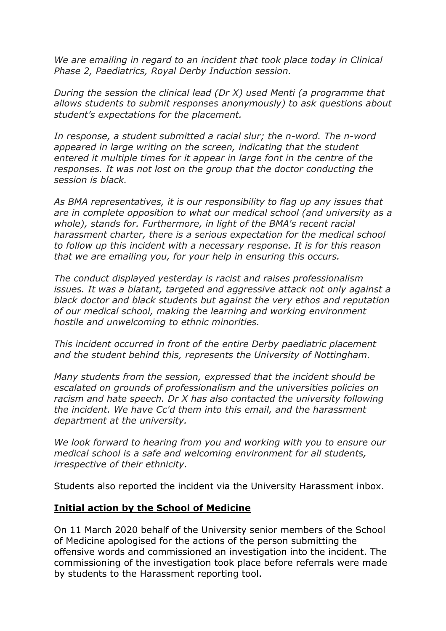*We are emailing in regard to an incident that took place today in Clinical Phase 2, Paediatrics, Royal Derby Induction session.* 

*During the session the clinical lead (Dr X) used Menti (a programme that allows students to submit responses anonymously) to ask questions about student's expectations for the placement.* 

*In response, a student submitted a racial slur; the n-word. The n-word appeared in large writing on the screen, indicating that the student entered it multiple times for it appear in large font in the centre of the responses. It was not lost on the group that the doctor conducting the session is black.* 

*As BMA representatives, it is our responsibility to flag up any issues that are in complete opposition to what our medical school (and university as a whole), stands for. Furthermore, in light of the BMA's recent racial harassment charter, there is a serious expectation for the medical school to follow up this incident with a necessary response. It is for this reason that we are emailing you, for your help in ensuring this occurs.* 

*The conduct displayed yesterday is racist and raises professionalism issues. It was a blatant, targeted and aggressive attack not only against a black doctor and black students but against the very ethos and reputation of our medical school, making the learning and working environment hostile and unwelcoming to ethnic minorities.* 

*This incident occurred in front of the entire Derby paediatric placement and the student behind this, represents the University of Nottingham.* 

*Many students from the session, expressed that the incident should be escalated on grounds of professionalism and the universities policies on racism and hate speech. Dr X has also contacted the university following the incident. We have Cc'd them into this email, and the harassment department at the university.* 

*We look forward to hearing from you and working with you to ensure our medical school is a safe and welcoming environment for all students, irrespective of their ethnicity.* 

Students also reported the incident via the University Harassment inbox.

#### **Initial action by the School of Medicine**

On 11 March 2020 behalf of the University senior members of the School of Medicine apologised for the actions of the person submitting the offensive words and commissioned an investigation into the incident. The commissioning of the investigation took place before referrals were made by students to the Harassment reporting tool.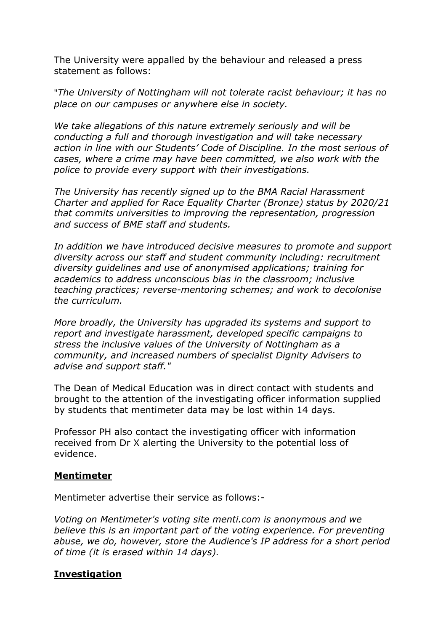The University were appalled by the behaviour and released a press statement as follows:

"*The University of Nottingham will not tolerate racist behaviour; it has no place on our campuses or anywhere else in society.* 

*We take allegations of this nature extremely seriously and will be conducting a full and thorough investigation and will take necessary action in line with our Students' Code of Discipline. In the most serious of cases, where a crime may have been committed, we also work with the police to provide every support with their investigations.* 

*The University has recently signed up to the BMA Racial Harassment Charter and applied for Race Equality Charter (Bronze) status by 2020/21 that commits universities to improving the representation, progression and success of BME staff and students.* 

*In addition we have introduced decisive measures to promote and support diversity across our staff and student community including: recruitment diversity guidelines and use of anonymised applications; training for academics to address unconscious bias in the classroom; inclusive teaching practices; reverse-mentoring schemes; and work to decolonise the curriculum.* 

*More broadly, the University has upgraded its systems and support to report and investigate harassment, developed specific campaigns to stress the inclusive values of the University of Nottingham as a community, and increased numbers of specialist Dignity Advisers to advise and support staff."* 

The Dean of Medical Education was in direct contact with students and brought to the attention of the investigating officer information supplied by students that mentimeter data may be lost within 14 days.

Professor PH also contact the investigating officer with information received from Dr X alerting the University to the potential loss of evidence.

#### **Mentimeter**

Mentimeter advertise their service as follows:-

*Voting on Mentimeter's voting site [menti.com](https://menti.com) is anonymous and we believe this is an important part of the voting experience. For preventing abuse, we do, however, store the Audience's IP address for a short period of time (it is erased within 14 days).* 

### **Investigation**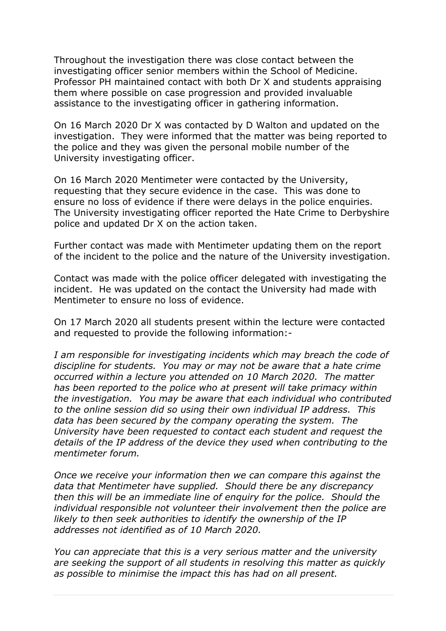Throughout the investigation there was close contact between the investigating officer senior members within the School of Medicine. Professor PH maintained contact with both Dr X and students appraising them where possible on case progression and provided invaluable assistance to the investigating officer in gathering information.

On 16 March 2020 Dr X was contacted by D Walton and updated on the investigation. They were informed that the matter was being reported to the police and they was given the personal mobile number of the University investigating officer.

On 16 March 2020 Mentimeter were contacted by the University, requesting that they secure evidence in the case. This was done to ensure no loss of evidence if there were delays in the police enquiries. The University investigating officer reported the Hate Crime to Derbyshire police and updated Dr X on the action taken.

Further contact was made with Mentimeter updating them on the report of the incident to the police and the nature of the University investigation.

Contact was made with the police officer delegated with investigating the incident. He was updated on the contact the University had made with Mentimeter to ensure no loss of evidence.

On 17 March 2020 all students present within the lecture were contacted and requested to provide the following information:-

*I am responsible for investigating incidents which may breach the code of discipline for students. You may or may not be aware that a hate crime occurred within a lecture you attended on 10 March 2020. The matter has been reported to the police who at present will take primacy within the investigation. You may be aware that each individual who contributed to the online session did so using their own individual IP address. This data has been secured by the company operating the system. The University have been requested to contact each student and request the details of the IP address of the device they used when contributing to the mentimeter forum.* 

*Once we receive your information then we can compare this against the data that Mentimeter have supplied. Should there be any discrepancy then this will be an immediate line of enquiry for the police. Should the individual responsible not volunteer their involvement then the police are likely to then seek authorities to identify the ownership of the IP addresses not identified as of 10 March 2020.* 

*You can appreciate that this is a very serious matter and the university are seeking the support of all students in resolving this matter as quickly as possible to minimise the impact this has had on all present.*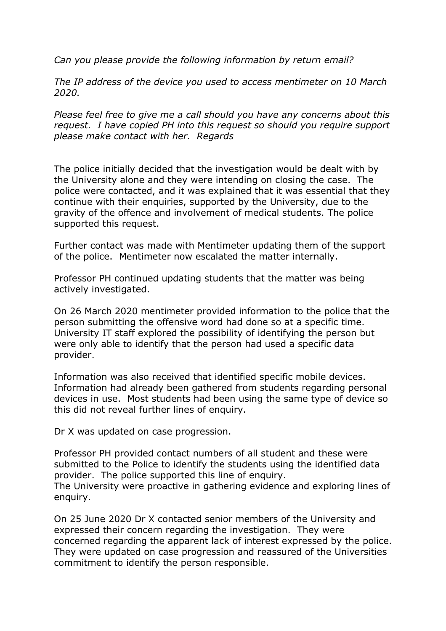*Can you please provide the following information by return email?* 

*The IP address of the device you used to access mentimeter on 10 March 2020.* 

*Please feel free to give me a call should you have any concerns about this request. I have copied PH into this request so should you require support please make contact with her. Regards* 

The police initially decided that the investigation would be dealt with by the University alone and they were intending on closing the case. The police were contacted, and it was explained that it was essential that they continue with their enquiries, supported by the University, due to the gravity of the offence and involvement of medical students. The police supported this request.

Further contact was made with Mentimeter updating them of the support of the police. Mentimeter now escalated the matter internally.

Professor PH continued updating students that the matter was being actively investigated.

On 26 March 2020 mentimeter provided information to the police that the person submitting the offensive word had done so at a specific time. University IT staff explored the possibility of identifying the person but were only able to identify that the person had used a specific data provider.

Information was also received that identified specific mobile devices. Information had already been gathered from students regarding personal devices in use. Most students had been using the same type of device so this did not reveal further lines of enquiry.

Dr X was updated on case progression.

Professor PH provided contact numbers of all student and these were submitted to the Police to identify the students using the identified data provider. The police supported this line of enquiry. The University were proactive in gathering evidence and exploring lines of enquiry.

On 25 June 2020 Dr X contacted senior members of the University and expressed their concern regarding the investigation. They were concerned regarding the apparent lack of interest expressed by the police. They were updated on case progression and reassured of the Universities commitment to identify the person responsible.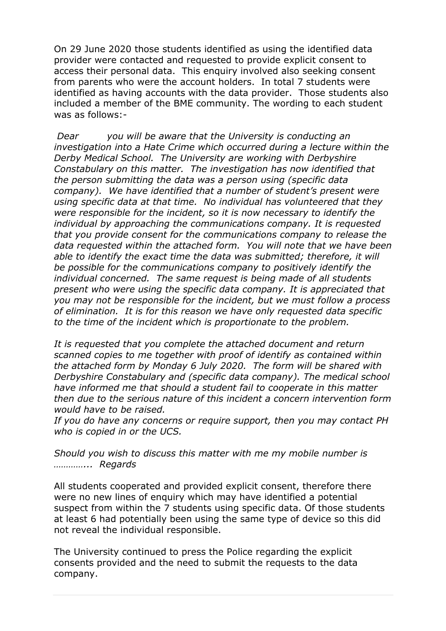On 29 June 2020 those students identified as using the identified data provider were contacted and requested to provide explicit consent to access their personal data. This enquiry involved also seeking consent from parents who were the account holders. In total 7 students were identified as having accounts with the data provider. Those students also included a member of the BME community. The wording to each student was as follows:-

*Dear you will be aware that the University is conducting an investigation into a Hate Crime which occurred during a lecture within the Derby Medical School. The University are working with Derbyshire Constabulary on this matter. The investigation has now identified that the person submitting the data was a person using (specific data company). We have identified that a number of student's present were using specific data at that time. No individual has volunteered that they were responsible for the incident, so it is now necessary to identify the individual by approaching the communications company. It is requested that you provide consent for the communications company to release the data requested within the attached form. You will note that we have been able to identify the exact time the data was submitted; therefore, it will be possible for the communications company to positively identify the individual concerned. The same request is being made of all students present who were using the specific data company. It is appreciated that you may not be responsible for the incident, but we must follow a process of elimination. It is for this reason we have only requested data specific to the time of the incident which is proportionate to the problem.* 

*It is requested that you complete the attached document and return scanned copies to me together with proof of identify as contained within the attached form by Monday 6 July 2020. The form will be shared with Derbyshire Constabulary and (specific data company). The medical school have informed me that should a student fail to cooperate in this matter then due to the serious nature of this incident a concern intervention form would have to be raised.* 

*If you do have any concerns or require support, then you may contact PH who is copied in or the UCS.* 

*Should you wish to discuss this matter with me my mobile number is …………... Regards* 

All students cooperated and provided explicit consent, therefore there were no new lines of enquiry which may have identified a potential suspect from within the 7 students using specific data. Of those students at least 6 had potentially been using the same type of device so this did not reveal the individual responsible.

The University continued to press the Police regarding the explicit consents provided and the need to submit the requests to the data company.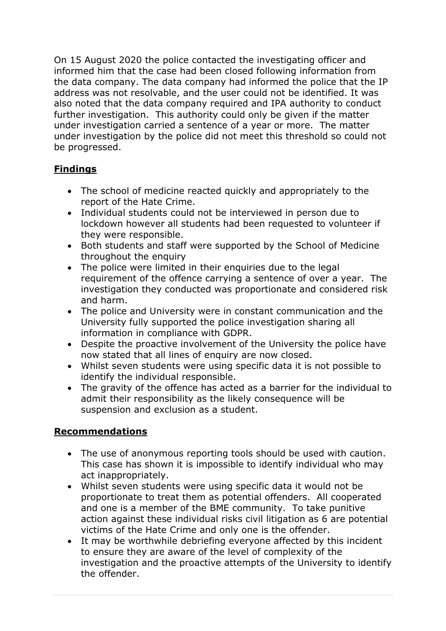On 15 August 2020 the police contacted the investigating officer and informed him that the case had been closed following information from the data company. The data company had informed the police that the IP address was not resolvable, and the user could not be identified. It was also noted that the data company required and IPA authority to conduct further investigation. This authority could only be given if the matter under investigation carried a sentence of a year or more. The matter under investigation by the police did not meet this threshold so could not be progressed.

## **Findings**

- The school of medicine reacted quickly and appropriately to the report of the Hate Crime.
- Individual students could not be interviewed in person due to lockdown however all students had been requested to volunteer if they were responsible.
- Both students and staff were supported by the School of Medicine throughout the enquiry
- The police were limited in their enquiries due to the legal requirement of the offence carrying a sentence of over a year. The investigation they conducted was proportionate and considered risk and harm.
- The police and University were in constant communication and the University fully supported the police investigation sharing all information in compliance with GDPR.
- Despite the proactive involvement of the University the police have now stated that all lines of enquiry are now closed.
- Whilst seven students were using specific data it is not possible to identify the individual responsible.
- The gravity of the offence has acted as a barrier for the individual to admit their responsibility as the likely consequence will be suspension and exclusion as a student.

## **Recommendations**

- The use of anonymous reporting tools should be used with caution. This case has shown it is impossible to identify individual who may act inappropriately.
- Whilst seven students were using specific data it would not be proportionate to treat them as potential offenders. All cooperated and one is a member of the BME community. To take punitive action against these individual risks civil litigation as 6 are potential victims of the Hate Crime and only one is the offender.
- It may be worthwhile debriefing everyone affected by this incident to ensure they are aware of the level of complexity of the investigation and the proactive attempts of the University to identify the offender.